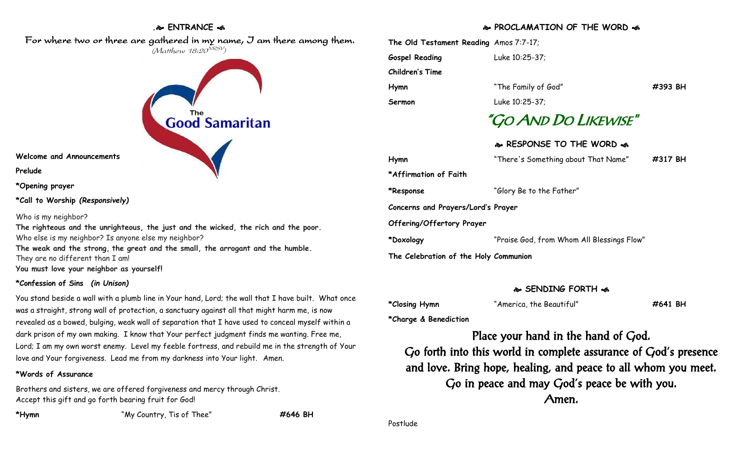## **. ENTRANCE**

 For where two or three are gathered in my name, I am there among them. (Matthew 18:20<sup>NRSV</sup>)

**The** 

# **Good Samaritan**

**Welcome and Announcements**

**Prelude**

**\*Opening prayer**

**\*Call to Worship** *(Responsively)*

#### Who is my neighbor?

**The righteous and the unrighteous, the just and the wicked, the rich and the poor.** Who else is my neighbor? Is anyone else my neighbor?

**The weak and the strong, the great and the small, the arrogant and the humble.** They are no different than I am!

**You must love your neighbor as yourself!**

### **\*Confession of Sins** *(in Unison)*

You stand beside a wall with a plumb line in Your hand, Lord; the wall that I have built. What once was a straight, strong wall of protection, a sanctuary against all that might harm me, is now revealed as a bowed, bulging, weak wall of separation that I have used to conceal myself within a dark prison of my own making. I know that Your perfect judgment finds me wanting. Free me, Lord; I am my own worst enemy. Level my feeble fortress, and rebuild me in the strength of Your love and Your forgiveness. Lead me from my darkness into Your light. Amen.

### **\*Words of Assurance**

Brothers and sisters, we are offered forgiveness and mercy through Christ. Accept this gift and go forth bearing fruit for God!

**\*Hymn** "My Country, Tis of Thee" **#646 BH**

**PROCLAMATION OF THE WORD** 

**The Old Testament Reading** Amos 7:7-17; **Gospel Reading** Luke 10:25-37; **Children's Time Hymn** "The Family of God" **#393 BH Sermon** Luke 10:25-37; "GO AND DO LIKEWISE" **RESPONSE TO THE WORD Hymn** "There's Something about That Name" **#317 BH \*Affirmation of Faith \*Response** "Glory Be to the Father" **Concerns and Prayers/Lord's Prayer Offering/Offertory Prayer \*Doxology** "Praise God, from Whom All Blessings Flow" **The Celebration of the Holy Communion**

### **SENDING FORTH**

**\*Closing Hymn** "America, the Beautiful" **#641 BH**

**\*Charge & Benediction**

Place your hand in the hand of God. Go forth into this world in complete assurance of God's presence and love. Bring hope, healing, and peace to all whom you meet. Go in peace and may God's peace be with you. Amen.

Postlude